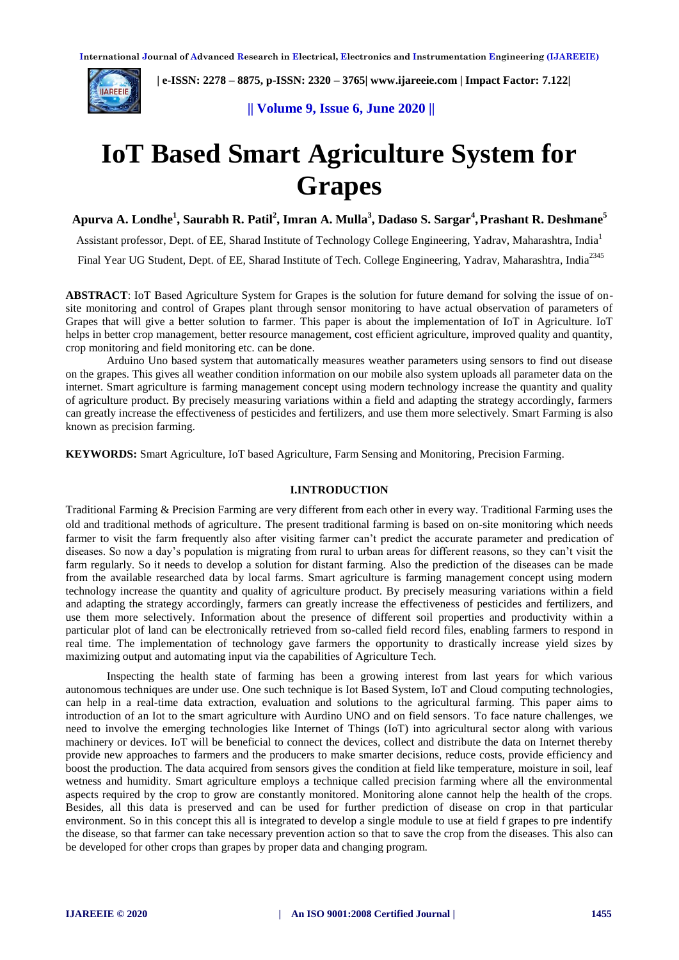

 **| e-ISSN: 2278 – 8875, p-ISSN: 2320 – 3765| [www.ijareeie.com](http://www.ijareeie.com/) | Impact Factor: 7.122|** 

**|| Volume 9, Issue 6, June 2020 ||** 

# **IoT Based Smart Agriculture System for Grapes**

**Apurva A. Londhe<sup>1</sup> , Saurabh R. Patil<sup>2</sup> , Imran A. Mulla<sup>3</sup> , Dadaso S. Sargar<sup>4</sup> ,Prashant R. Deshmane<sup>5</sup>**

Assistant professor, Dept. of EE, Sharad Institute of Technology College Engineering, Yadrav, Maharashtra, India<sup>1</sup> Final Year UG Student, Dept. of EE, Sharad Institute of Tech. College Engineering, Yadrav, Maharashtra, India<sup>2345</sup>

**ABSTRACT**: IoT Based Agriculture System for Grapes is the solution for future demand for solving the issue of onsite monitoring and control of Grapes plant through sensor monitoring to have actual observation of parameters of Grapes that will give a better solution to farmer. This paper is about the implementation of IoT in Agriculture. IoT helps in better crop management, better resource management, cost efficient agriculture, improved quality and quantity, crop monitoring and field monitoring etc. can be done.

Arduino Uno based system that automatically measures weather parameters using sensors to find out disease on the grapes. This gives all weather condition information on our mobile also system uploads all parameter data on the internet. Smart agriculture is farming management concept using modern technology increase the quantity and quality of agriculture product. By precisely measuring variations within a field and adapting the strategy accordingly, farmers can greatly increase the effectiveness of pesticides and fertilizers, and use them more selectively. Smart Farming is also known as precision farming.

**KEYWORDS:** Smart Agriculture, IoT based Agriculture, Farm Sensing and Monitoring, Precision Farming.

#### **I.INTRODUCTION**

Traditional Farming & Precision Farming are very different from each other in every way. Traditional Farming uses the old and traditional methods of agriculture. The present traditional farming is based on on-site monitoring which needs farmer to visit the farm frequently also after visiting farmer can't predict the accurate parameter and predication of diseases. So now a day's population is migrating from rural to urban areas for different reasons, so they can't visit the farm regularly. So it needs to develop a solution for distant farming. Also the prediction of the diseases can be made from the available researched data by local farms. Smart agriculture is farming management concept using modern technology increase the quantity and quality of agriculture product. By precisely measuring variations within a field and adapting the strategy accordingly, farmers can greatly increase the effectiveness of pesticides and fertilizers, and use them more selectively. Information about the presence of different soil properties and productivity within a particular plot of land can be electronically retrieved from so-called field record files, enabling farmers to respond in real time. The implementation of technology gave farmers the opportunity to drastically increase yield sizes by maximizing output and automating input via the capabilities of Agriculture Tech.

Inspecting the health state of farming has been a growing interest from last years for which various autonomous techniques are under use. One such technique is Iot Based System, IoT and Cloud computing technologies, can help in a real-time data extraction, evaluation and solutions to the agricultural farming. This paper aims to introduction of an Iot to the smart agriculture with Aurdino UNO and on field sensors. To face nature challenges, we need to involve the emerging technologies like Internet of Things (IoT) into agricultural sector along with various machinery or devices. IoT will be beneficial to connect the devices, collect and distribute the data on Internet thereby provide new approaches to farmers and the producers to make smarter decisions, reduce costs, provide efficiency and boost the production. The data acquired from sensors gives the condition at field like temperature, moisture in soil, leaf wetness and humidity. Smart agriculture employs a technique called precision farming where all the environmental aspects required by the crop to grow are constantly monitored. Monitoring alone cannot help the health of the crops. Besides, all this data is preserved and can be used for further prediction of disease on crop in that particular environment. So in this concept this all is integrated to develop a single module to use at field f grapes to pre indentify the disease, so that farmer can take necessary prevention action so that to save the crop from the diseases. This also can be developed for other crops than grapes by proper data and changing program.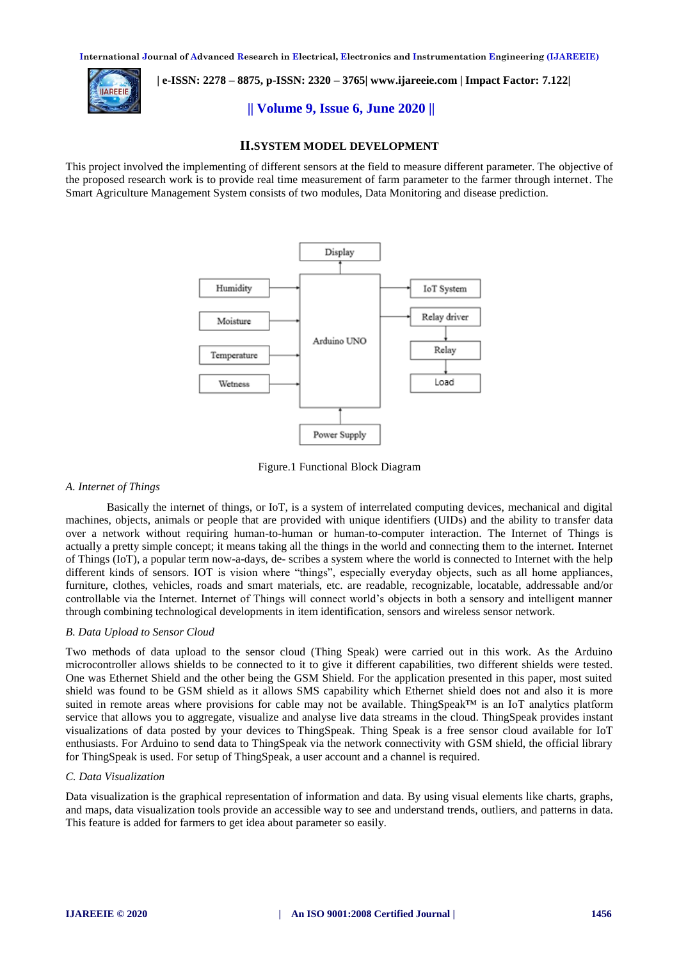

 **| e-ISSN: 2278 – 8875, p-ISSN: 2320 – 3765| [www.ijareeie.com](http://www.ijareeie.com/) | Impact Factor: 7.122|** 

**|| Volume 9, Issue 6, June 2020 ||** 

#### **II.SYSTEM MODEL DEVELOPMENT**

This project involved the implementing of different sensors at the field to measure different parameter. The objective of the proposed research work is to provide real time measurement of farm parameter to the farmer through internet. The Smart Agriculture Management System consists of two modules, Data Monitoring and disease prediction.



Figure.1 Functional Block Diagram

#### *A. Internet of Things*

Basically the internet of things, or IoT, is a system of interrelated computing devices, mechanical and digital machines, objects, animals or people that are provided with unique identifiers (UIDs) and the ability to transfer data over a network without requiring human-to-human or human-to-computer interaction. The Internet of Things is actually a pretty simple concept; it means taking all the things in the world and connecting them to the internet. Internet of Things (IoT), a popular term now-a-days, de- scribes a system where the world is connected to Internet with the help different kinds of sensors. IOT is vision where "things", especially everyday objects, such as all home appliances, furniture, clothes, vehicles, roads and smart materials, etc. are readable, recognizable, locatable, addressable and/or controllable via the Internet. Internet of Things will connect world's objects in both a sensory and intelligent manner through combining technological developments in item identification, sensors and wireless sensor network.

#### *B. Data Upload to Sensor Cloud*

Two methods of data upload to the sensor cloud (Thing Speak) were carried out in this work. As the Arduino microcontroller allows shields to be connected to it to give it different capabilities, two different shields were tested. One was Ethernet Shield and the other being the GSM Shield. For the application presented in this paper, most suited shield was found to be GSM shield as it allows SMS capability which Ethernet shield does not and also it is more suited in remote areas where provisions for cable may not be available. ThingSpeak™ is an IoT analytics platform service that allows you to aggregate, visualize and analyse live data streams in the cloud. ThingSpeak provides instant visualizations of data posted by your devices to ThingSpeak. Thing Speak is a free sensor cloud available for IoT enthusiasts. For Arduino to send data to ThingSpeak via the network connectivity with GSM shield, the official library for ThingSpeak is used. For setup of ThingSpeak, a user account and a channel is required.

#### *C. Data Visualization*

Data visualization is the graphical representation of information and data. By using visual elements like charts, graphs, and maps, data visualization tools provide an accessible way to see and understand trends, outliers, and patterns in data. This feature is added for farmers to get idea about parameter so easily.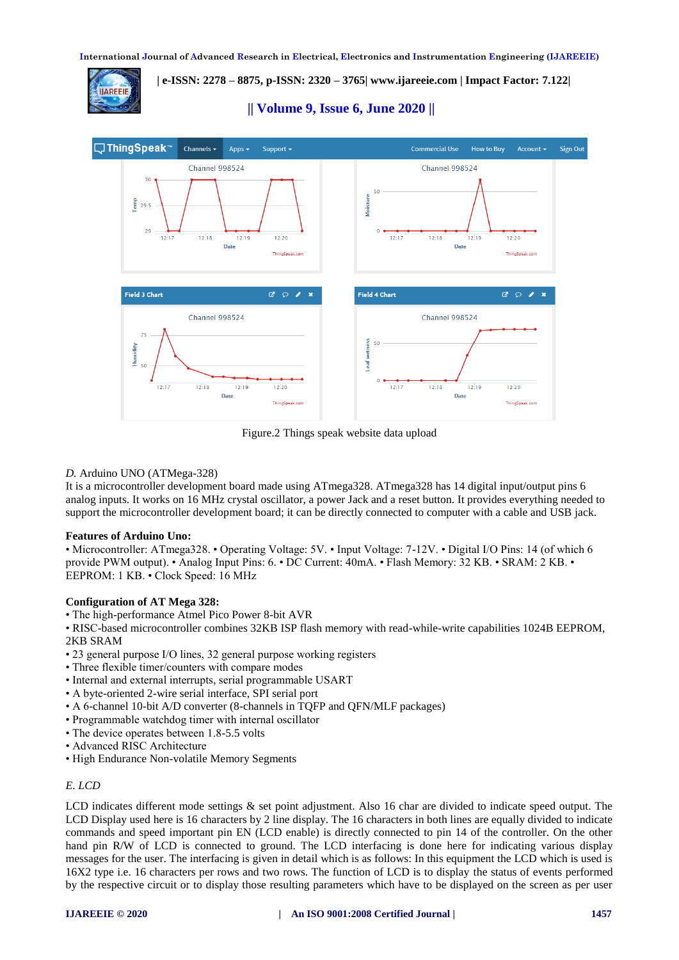**| e-ISSN: 2278 – 8875, p-ISSN: 2320 – 3765| [www.ijareeie.com](http://www.ijareeie.com/) | Impact Factor: 7.122|** 





Figure.2 Things speak website data upload

# *D.* Arduino UNO (ATMega-328)

It is a microcontroller development board made using ATmega328. ATmega328 has 14 digital input/output pins 6 analog inputs. It works on 16 MHz crystal oscillator, a power Jack and a reset button. It provides everything needed to support the microcontroller development board; it can be directly connected to computer with a cable and USB jack.

# **Features of Arduino Uno:**

• Microcontroller: ATmega328. • Operating Voltage: 5V. • Input Voltage: 7-12V. • Digital I/O Pins: 14 (of which 6 provide PWM output). • Analog Input Pins: 6. • DC Current: 40mA. • Flash Memory: 32 KB. • SRAM: 2 KB. • EEPROM: 1 KB. • Clock Speed: 16 MHz

# **Configuration of AT Mega 328:**

• The high-performance Atmel Pico Power 8-bit AVR

• RISC-based microcontroller combines 32KB ISP flash memory with read-while-write capabilities 1024B EEPROM, 2KB SRAM

- 23 general purpose I/O lines, 32 general purpose working registers
- Three flexible timer/counters with compare modes
- Internal and external interrupts, serial programmable USART
- A byte-oriented 2-wire serial interface, SPI serial port
- A 6-channel 10-bit A/D converter (8-channels in TQFP and QFN/MLF packages)
- Programmable watchdog timer with internal oscillator
- The device operates between 1.8-5.5 volts
- Advanced RISC Architecture
- High Endurance Non-volatile Memory Segments

# *E. LCD*

LCD indicates different mode settings & set point adjustment. Also 16 char are divided to indicate speed output. The LCD Display used here is 16 characters by 2 line display. The 16 characters in both lines are equally divided to indicate commands and speed important pin EN (LCD enable) is directly connected to pin 14 of the controller. On the other hand pin R/W of LCD is connected to ground. The LCD interfacing is done here for indicating various display messages for the user. The interfacing is given in detail which is as follows: In this equipment the LCD which is used is 16X2 type i.e. 16 characters per rows and two rows. The function of LCD is to display the status of events performed by the respective circuit or to display those resulting parameters which have to be displayed on the screen as per user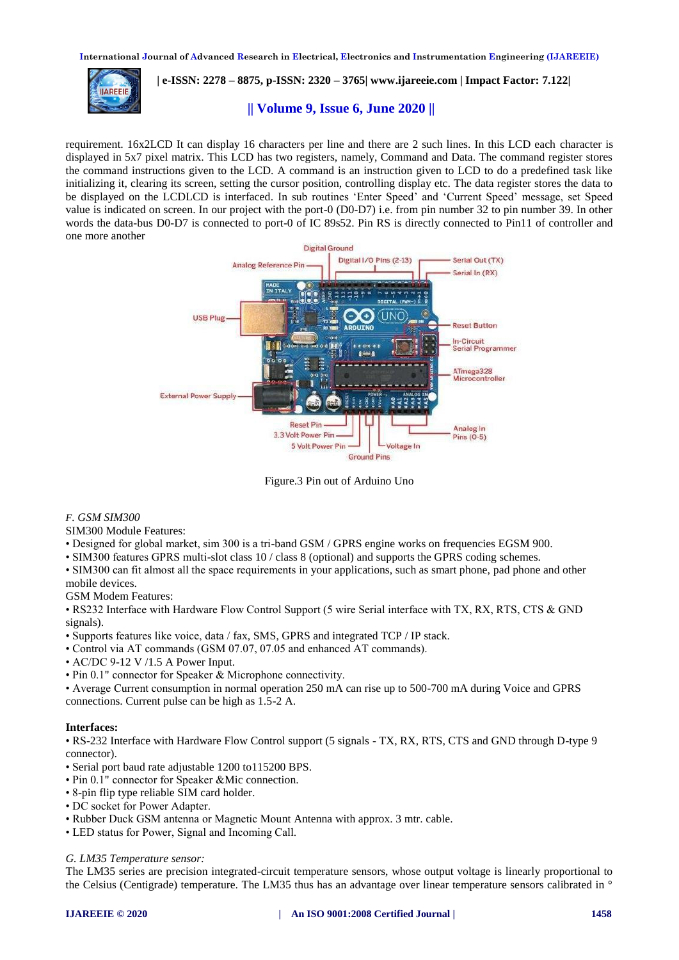

 **| e-ISSN: 2278 – 8875, p-ISSN: 2320 – 3765| [www.ijareeie.com](http://www.ijareeie.com/) | Impact Factor: 7.122|** 

# **|| Volume 9, Issue 6, June 2020 ||**

requirement. 16x2LCD It can display 16 characters per line and there are 2 such lines. In this LCD each character is displayed in 5x7 pixel matrix. This LCD has two registers, namely, Command and Data. The command register stores the command instructions given to the LCD. A command is an instruction given to LCD to do a predefined task like initializing it, clearing its screen, setting the cursor position, controlling display etc. The data register stores the data to be displayed on the LCDLCD is interfaced. In sub routines 'Enter Speed' and 'Current Speed' message, set Speed value is indicated on screen. In our project with the port-0 (D0-D7) i.e. from pin number 32 to pin number 39. In other words the data-bus D0-D7 is connected to port-0 of IC 89s52. Pin RS is directly connected to Pin11 of controller and one more another



Figure.3 Pin out of Arduino Uno

# *F. GSM SIM300*

SIM300 Module Features:

• Designed for global market, sim 300 is a tri-band GSM / GPRS engine works on frequencies EGSM 900.

• SIM300 features GPRS multi-slot class 10 / class 8 (optional) and supports the GPRS coding schemes.

• SIM300 can fit almost all the space requirements in your applications, such as smart phone, pad phone and other mobile devices.

GSM Modem Features:

• RS232 Interface with Hardware Flow Control Support (5 wire Serial interface with TX, RX, RTS, CTS & GND signals).

• Supports features like voice, data / fax, SMS, GPRS and integrated TCP / IP stack.

• Control via AT commands (GSM 07.07, 07.05 and enhanced AT commands).

• AC/DC 9-12 V /1.5 A Power Input.

• Pin 0.1" connector for Speaker & Microphone connectivity.

• Average Current consumption in normal operation 250 mA can rise up to 500-700 mA during Voice and GPRS connections. Current pulse can be high as 1.5-2 A.

# **Interfaces:**

• RS-232 Interface with Hardware Flow Control support (5 signals - TX, RX, RTS, CTS and GND through D-type 9 connector).

- Serial port baud rate adjustable 1200 to115200 BPS.
- Pin 0.1" connector for Speaker &Mic connection.
- 8-pin flip type reliable SIM card holder.
- DC socket for Power Adapter.
- Rubber Duck GSM antenna or Magnetic Mount Antenna with approx. 3 mtr. cable.
- LED status for Power, Signal and Incoming Call.

*G. LM35 Temperature sensor:*

The LM35 series are precision integrated-circuit temperature sensors, whose output voltage is linearly proportional to the Celsius (Centigrade) temperature. The LM35 thus has an advantage over linear temperature sensors calibrated in °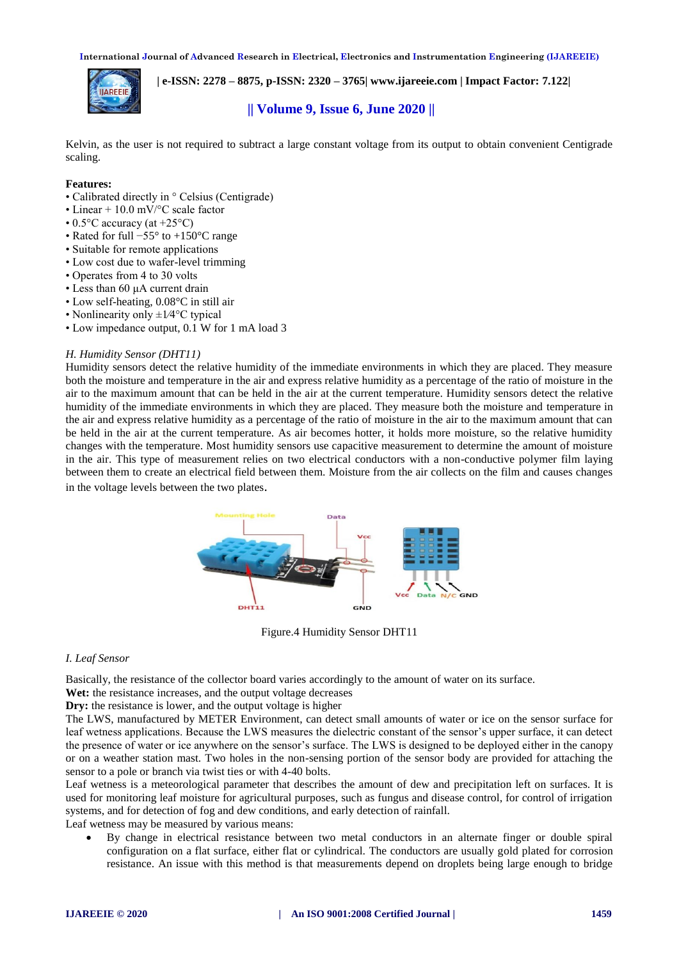

 **| e-ISSN: 2278 – 8875, p-ISSN: 2320 – 3765| [www.ijareeie.com](http://www.ijareeie.com/) | Impact Factor: 7.122|** 

# **|| Volume 9, Issue 6, June 2020 ||**

Kelvin, as the user is not required to subtract a large constant voltage from its output to obtain convenient Centigrade scaling.

#### **Features:**

- Calibrated directly in ° Celsius (Centigrade)
- Linear + 10.0 mV/°C scale factor
- 0.5 $\mathrm{^{\circ}C}$  accuracy (at +25 $\mathrm{^{\circ}C}$ )
- Rated for full −55° to +150°C range
- Suitable for remote applications
- Low cost due to wafer-level trimming
- Operates from 4 to 30 volts
- Less than 60 μA current drain
- Low self-heating, 0.08°C in still air
- Nonlinearity only  $\pm 1/4$ °C typical
- Low impedance output, 0.1 W for 1 mA load 3

#### *H. Humidity Sensor (DHT11)*

Humidity sensors detect the relative humidity of the immediate environments in which they are placed. They measure both the moisture and temperature in the air and express relative humidity as a percentage of the ratio of moisture in the air to the maximum amount that can be held in the air at the current temperature. Humidity sensors detect the relative humidity of the immediate environments in which they are placed. They measure both the moisture and temperature in the air and express relative humidity as a percentage of the ratio of moisture in the air to the maximum amount that can be held in the air at the current temperature. As air becomes hotter, it holds more moisture, so the relative humidity changes with the temperature. Most humidity sensors use capacitive measurement to determine the amount of moisture in the air. This type of measurement relies on two electrical conductors with a non-conductive polymer film laying between them to create an electrical field between them. Moisture from the air collects on the film and causes changes in the voltage levels between the two plates.



Figure.4 Humidity Sensor DHT11

#### *I. Leaf Sensor*

Basically, the resistance of the collector board varies accordingly to the amount of water on its surface.

Wet: the resistance increases, and the output voltage decreases

**Dry:** the resistance is lower, and the output voltage is higher

The LWS, manufactured by METER Environment, can detect small amounts of water or ice on the sensor surface for leaf wetness applications. Because the LWS measures the dielectric constant of the sensor's upper surface, it can detect the presence of water or ice anywhere on the sensor's surface. The LWS is designed to be deployed either in the canopy or on a weather station mast. Two holes in the non-sensing portion of the sensor body are provided for attaching the sensor to a pole or branch via twist ties or with 4-40 bolts.

Leaf wetness is a meteorological parameter that describes the amount of dew and precipitation left on surfaces. It is used for monitoring leaf moisture for agricultural purposes, such as fungus and disease control, for control of irrigation systems, and for detection of fog and dew conditions, and early detection of rainfall.

Leaf wetness may be measured by various means:

 By change in electrical resistance between two metal conductors in an alternate finger or double spiral configuration on a flat surface, either flat or cylindrical. The conductors are usually gold plated for corrosion resistance. An issue with this method is that measurements depend on droplets being large enough to bridge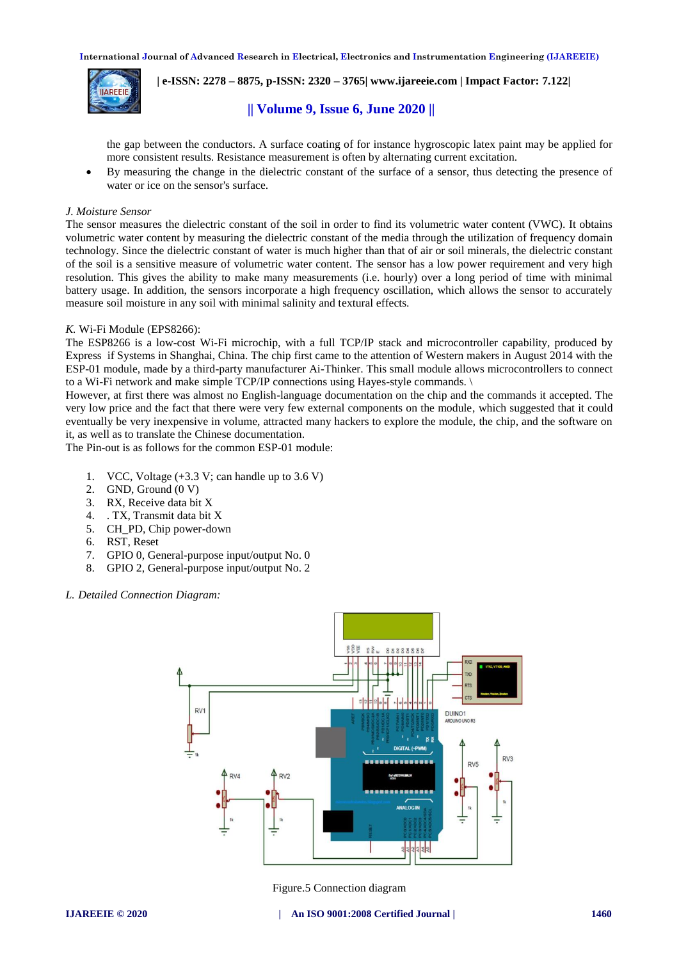

 **| e-ISSN: 2278 – 8875, p-ISSN: 2320 – 3765| [www.ijareeie.com](http://www.ijareeie.com/) | Impact Factor: 7.122|** 

# **|| Volume 9, Issue 6, June 2020 ||**

the gap between the conductors. A surface coating of for instance hygroscopic latex paint may be applied for more consistent results. Resistance measurement is often by alternating current excitation.

 By measuring the change in the dielectric constant of the surface of a sensor, thus detecting the presence of water or ice on the sensor's surface.

#### *J. Moisture Sensor*

The sensor measures the dielectric constant of the soil in order to find its volumetric water content (VWC). It obtains volumetric water content by measuring the dielectric constant of the media through the utilization of frequency domain technology. Since the dielectric constant of water is much higher than that of air or soil minerals, the dielectric constant of the soil is a sensitive measure of volumetric water content. The sensor has a low power requirement and very high resolution. This gives the ability to make many measurements (i.e. hourly) over a long period of time with minimal battery usage. In addition, the sensors incorporate a high frequency oscillation, which allows the sensor to accurately measure soil moisture in any soil with minimal salinity and textural effects.

#### *K.* Wi-Fi Module (EPS8266):

The ESP8266 is a low-cost Wi-Fi microchip, with a full TCP/IP stack and microcontroller capability, produced by Express if Systems in Shanghai, China. The chip first came to the attention of Western makers in August 2014 with the ESP-01 module, made by a third-party manufacturer Ai-Thinker. This small module allows microcontrollers to connect to a Wi-Fi network and make simple TCP/IP connections using Hayes-style commands. \

However, at first there was almost no English-language documentation on the chip and the commands it accepted. The very low price and the fact that there were very few external components on the module, which suggested that it could eventually be very inexpensive in volume, attracted many hackers to explore the module, the chip, and the software on it, as well as to translate the Chinese documentation.

The Pin-out is as follows for the common ESP-01 module:

- 1. VCC, Voltage  $(+3.3 \text{ V}; \text{ can handle up to } 3.6 \text{ V})$
- 2. GND, Ground (0 V)
- 3. RX, Receive data bit X
- 4. . TX, Transmit data bit X
- 5. CH\_PD, Chip power-down
- 6. RST, Reset
- 7. GPIO 0, General-purpose input/output No. 0
- 8. GPIO 2, General-purpose input/output No. 2

*L. Detailed Connection Diagram:*



Figure.5 Connection diagram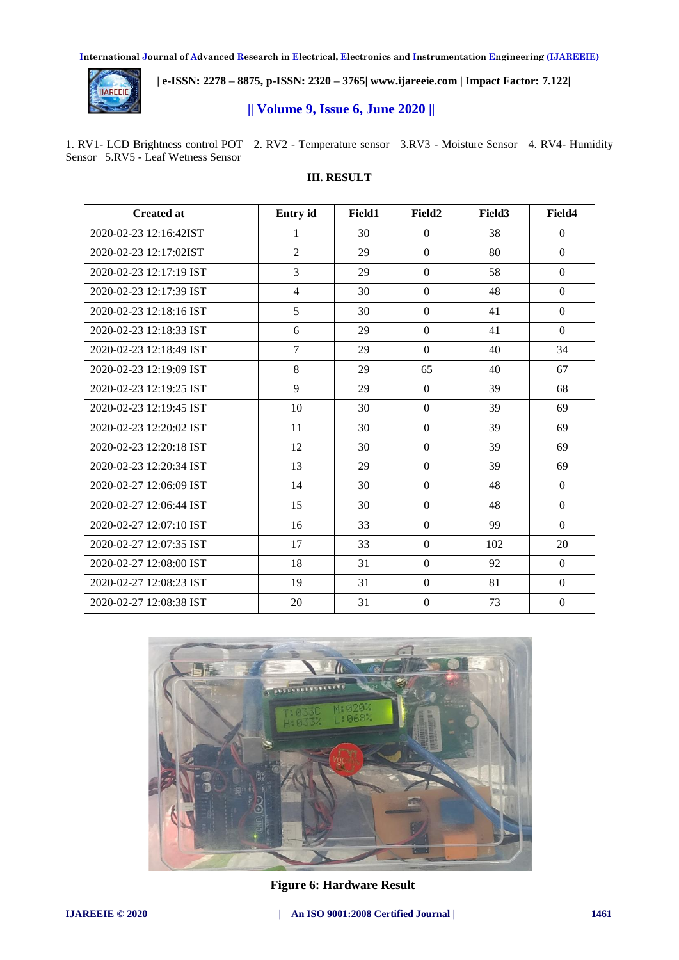

 **| e-ISSN: 2278 – 8875, p-ISSN: 2320 – 3765| [www.ijareeie.com](http://www.ijareeie.com/) | Impact Factor: 7.122|** 

# **|| Volume 9, Issue 6, June 2020 ||**

1. RV1- LCD Brightness control POT 2. RV2 - Temperature sensor 3.RV3 - Moisture Sensor 4. RV4- Humidity Sensor 5.RV5 - Leaf Wetness Sensor

# **III. RESULT**

| <b>Created at</b>       | Entry id       | Field1 | Field <sub>2</sub> | Field <sub>3</sub> | Field4           |
|-------------------------|----------------|--------|--------------------|--------------------|------------------|
| 2020-02-23 12:16:42IST  | 1              | 30     | $\theta$           | 38                 | $\theta$         |
| 2020-02-23 12:17:02IST  | $\overline{2}$ | 29     | $\Omega$           | 80                 | $\theta$         |
| 2020-02-23 12:17:19 IST | 3              | 29     | $\Omega$           | 58                 | $\mathbf{0}$     |
| 2020-02-23 12:17:39 IST | $\overline{4}$ | 30     | $\mathbf{0}$       | 48                 | $\theta$         |
| 2020-02-23 12:18:16 IST | 5              | 30     | $\overline{0}$     | 41                 | $\mathbf{0}$     |
| 2020-02-23 12:18:33 IST | 6              | 29     | $\theta$           | 41                 | $\theta$         |
| 2020-02-23 12:18:49 IST | $\overline{7}$ | 29     | $\theta$           | 40                 | 34               |
| 2020-02-23 12:19:09 IST | 8              | 29     | 65                 | 40                 | 67               |
| 2020-02-23 12:19:25 IST | 9              | 29     | $\Omega$           | 39                 | 68               |
| 2020-02-23 12:19:45 IST | 10             | 30     | $\overline{0}$     | 39                 | 69               |
| 2020-02-23 12:20:02 IST | 11             | 30     | $\boldsymbol{0}$   | 39                 | 69               |
| 2020-02-23 12:20:18 IST | 12             | 30     | $\overline{0}$     | 39                 | 69               |
| 2020-02-23 12:20:34 IST | 13             | 29     | $\overline{0}$     | 39                 | 69               |
| 2020-02-27 12:06:09 IST | 14             | 30     | $\boldsymbol{0}$   | 48                 | $\mathbf{0}$     |
| 2020-02-27 12:06:44 IST | 15             | 30     | $\theta$           | 48                 | $\Omega$         |
| 2020-02-27 12:07:10 IST | 16             | 33     | $\theta$           | 99                 | $\theta$         |
| 2020-02-27 12:07:35 IST | 17             | 33     | $\theta$           | 102                | 20               |
| 2020-02-27 12:08:00 IST | 18             | 31     | $\Omega$           | 92                 | $\mathbf{0}$     |
| 2020-02-27 12:08:23 IST | 19             | 31     | $\theta$           | 81                 | $\theta$         |
| 2020-02-27 12:08:38 IST | 20             | 31     | $\Omega$           | 73                 | $\boldsymbol{0}$ |



**Figure 6: Hardware Result**